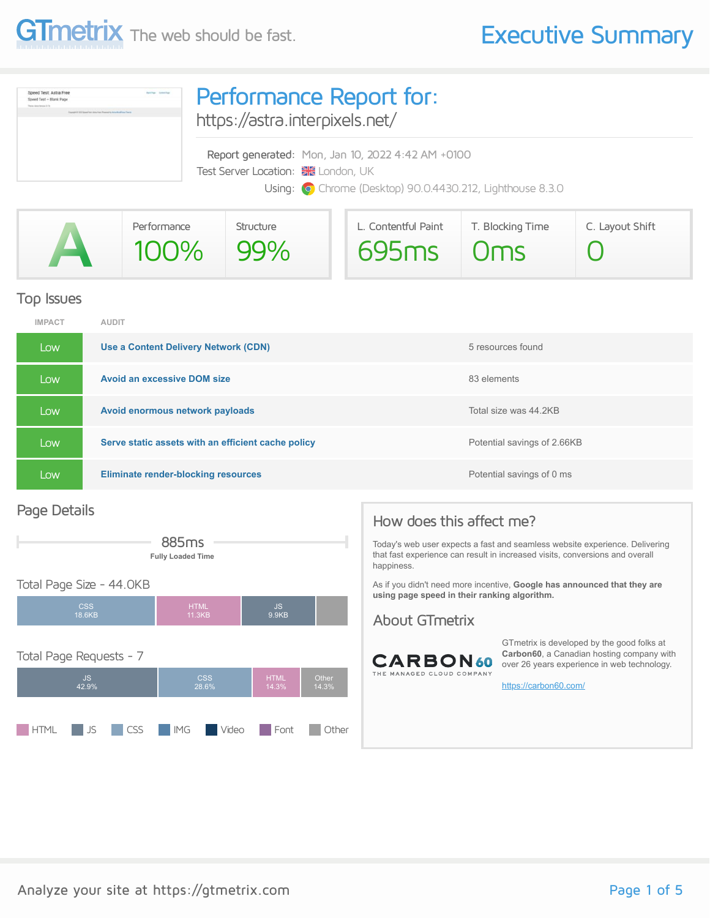

| Speed Test: Astra Free<br><b>Baltima</b> Detection<br>Speed Test - Blank Page<br><b>Dealers</b> Andrew Hermann, 3.7 of<br>location in \$100 located from dome-free (Program to Auto-Workfront Theory | Performance Report for:<br>https://astra.interpixels.net/                                                                                             |  |  |  |  |
|------------------------------------------------------------------------------------------------------------------------------------------------------------------------------------------------------|-------------------------------------------------------------------------------------------------------------------------------------------------------|--|--|--|--|
|                                                                                                                                                                                                      | Report generated: Mon, Jan 10, 2022 4:42 AM +0100<br>Test Server Location: XX London, UK<br>Using: O Chrome (Desktop) 90.0.4430.212, Lighthouse 8.3.0 |  |  |  |  |

|   | Performance | Structure | L. Contentful Paint | T. Blocking Time | C. Layout Shift |
|---|-------------|-----------|---------------------|------------------|-----------------|
| A | 100% 99%    |           | $695ms$ Oms         |                  |                 |

### Top Issues

| <b>IMPACT</b> | <b>AUDIT</b>                                       |                             |
|---------------|----------------------------------------------------|-----------------------------|
| Low           | Use a Content Delivery Network (CDN)               | 5 resources found           |
| Low           | <b>Avoid an excessive DOM size</b>                 | 83 elements                 |
| Low           | Avoid enormous network payloads                    | Total size was 44.2KB       |
| Low           | Serve static assets with an efficient cache policy | Potential savings of 2.66KB |
| Low           | <b>Eliminate render-blocking resources</b>         | Potential savings of 0 ms   |

### Page Details



**HTML** JS CSS IMG Video Font Other

| <b>Fully Loaded Time</b> |                       |              | that fast experience can result in increased visits, conversions and overall<br>happiness.                                      |
|--------------------------|-----------------------|--------------|---------------------------------------------------------------------------------------------------------------------------------|
| JКB                      |                       |              | As if you didn't need more incentive, <b>Google has announced that they are</b><br>using page speed in their ranking algorithm. |
|                          | <b>HTML</b><br>11.3KB | JS.<br>9.9KB | About GTmetrix                                                                                                                  |



GTmetrix is developed by the good folks at **Carbon60**, a Canadian hosting company with over 26 years experience in web technology.

<https://carbon60.com/>

Today's web user expects a fast and seamless website experience. Delivering

How does this affect me?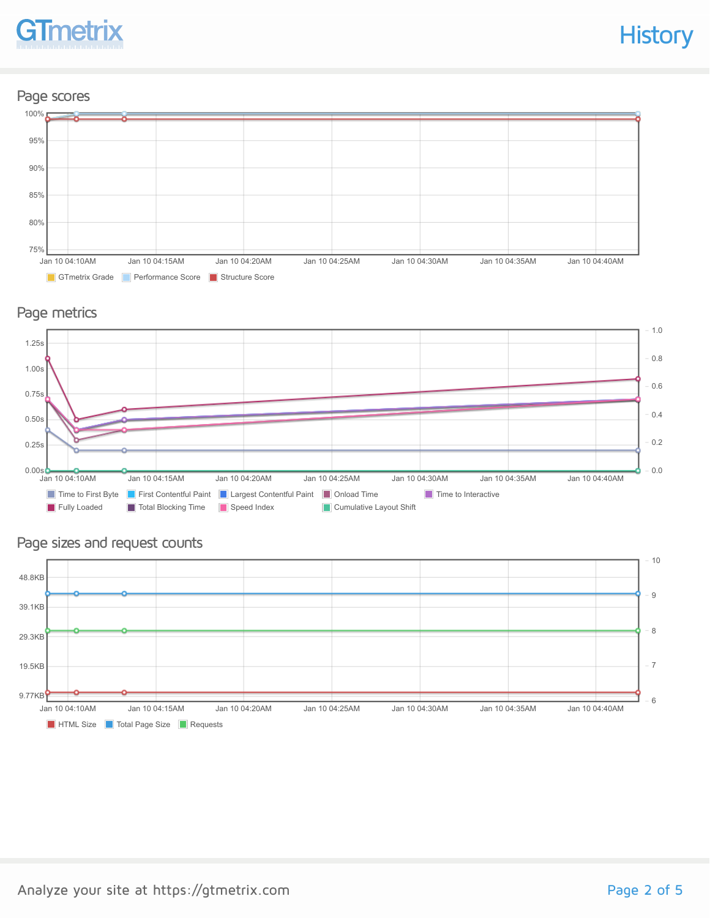

### Page scores



### Page metrics



### Page sizes and request counts

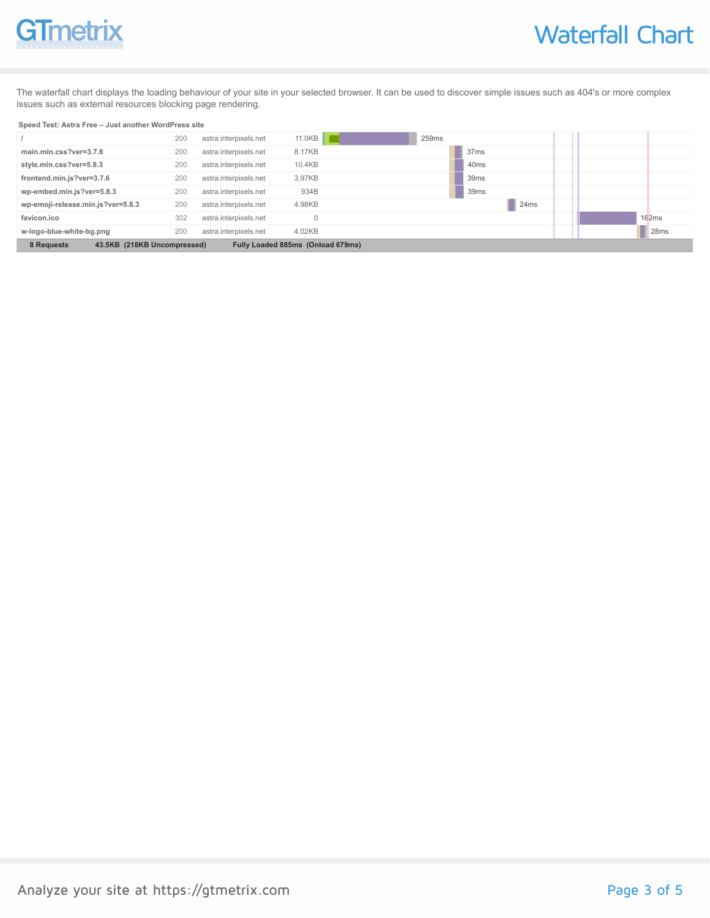# GTmetrix

The waterfall chart displays the loading behaviour of your site in your selected browser. It can be used to discover simple issues such as 404's or more complex issues such as external resources blocking page rendering.

#### **Speed Test: Astra Free – Just another WordPress site**

| Fully Loaded 885ms (Onload 679ms)<br>8 Requests<br>43.5KB (218KB Uncompressed) |     |                       |          |                  |                  |
|--------------------------------------------------------------------------------|-----|-----------------------|----------|------------------|------------------|
| w-logo-blue-white-bg.png                                                       | 200 | astra.interpixels.net | 4.02KB   |                  | 28 <sub>ms</sub> |
| favicon.ico                                                                    | 302 | astra.interpixels.net | $\Omega$ |                  | 162ms            |
| wp-emoji-release.min.js?ver=5.8.3                                              | 200 | astra.interpixels.net | 4.98KB   | 24ms             |                  |
| wp-embed.min.js?ver=5.8.3                                                      | 200 | astra.interpixels.net | 934B     | 39 <sub>ms</sub> |                  |
| frontend.min.js?ver=3.7.6                                                      | 200 | astra.interpixels.net | 3.97KB   | 39 <sub>ms</sub> |                  |
| style.min.css?ver=5.8.3                                                        | 200 | astra.interpixels.net | 10.4KB   | 40 <sub>ms</sub> |                  |
| main.min.css?ver=3.7.6                                                         | 200 | astra.interpixels.net | 8.17KB   | 37 <sub>ms</sub> |                  |
|                                                                                | 200 | astra.interpixels.net | 11.0KB   | 259ms            |                  |
|                                                                                |     |                       |          |                  |                  |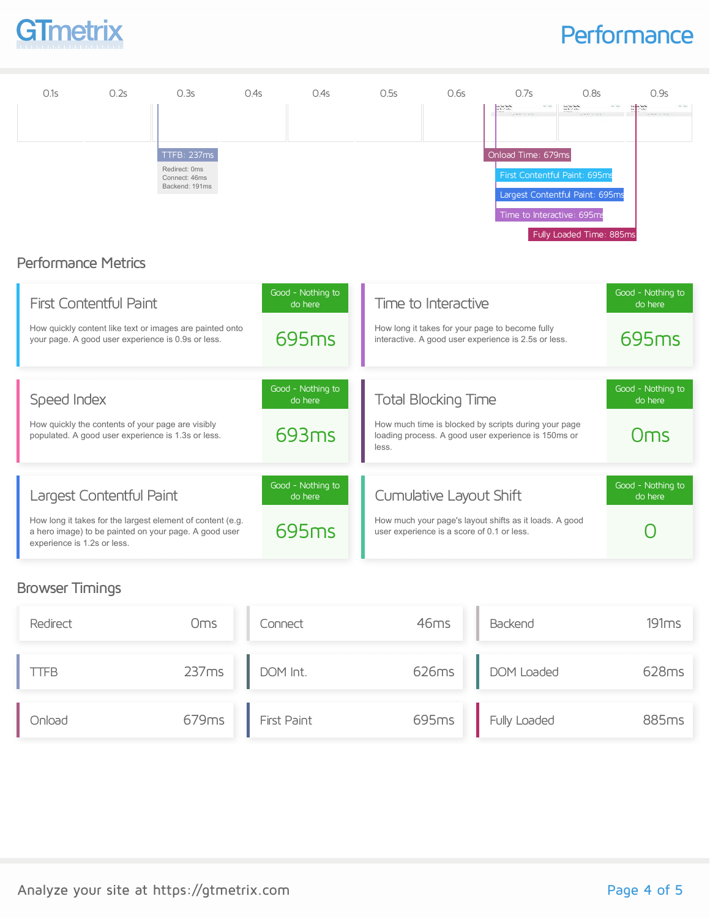

### **Performance**



### Browser Timings

| Redirect    | Oms   | Connect     | 46ms  | Backend      | 191ms |
|-------------|-------|-------------|-------|--------------|-------|
| <b>LIFB</b> | 237ms | DOM Int.    | 626ms | DOM Loaded   | 628ms |
| Onload      | 679ms | First Paint | 695ms | Fully Loaded | 885ms |